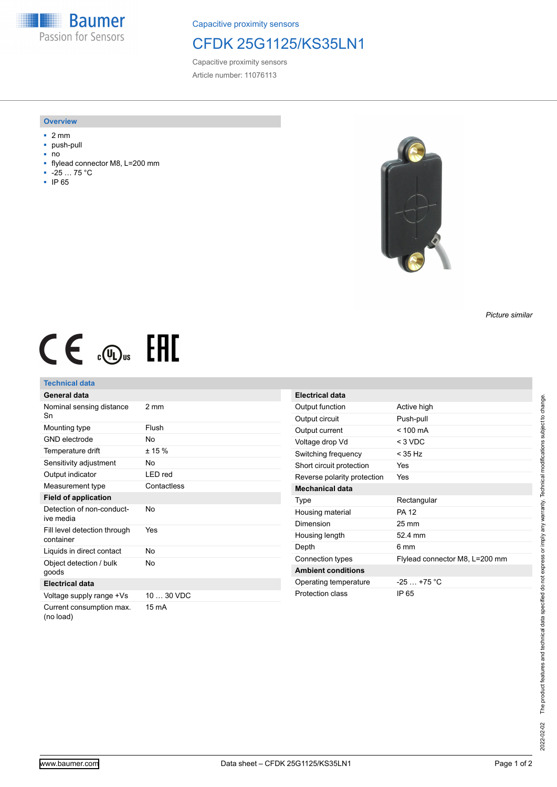**Baumer** Passion for Sensors

Capacitive proximity sensors

# CFDK 25G1125/KS35LN1

Capacitive proximity sensors Article number: 11076113

#### **Overview**

- 2 mm
- push-pull
- no<br>■ flvl
- flylead connector M8, L=200 mm
- -25 … 75 °C
- IP 65



### *Picture similar*

# $CE \mathcal{L}$  (Dus FAL

## **Technical data**

| <b>General data</b>                       |                 |
|-------------------------------------------|-----------------|
| Nominal sensing distance<br>Sn            | $2 \text{ mm}$  |
| Mounting type                             | Flush           |
| <b>GND</b> electrode                      | No              |
| Temperature drift                         | ± 15%           |
| Sensitivity adjustment                    | No              |
| Output indicator                          | LED red         |
| Measurement type                          | Contactless     |
| <b>Field of application</b>               |                 |
| Detection of non-conduct-<br>ive media    | Nο              |
| Fill level detection through<br>container | Yes             |
| Liquids in direct contact                 | No              |
| Object detection / bulk<br>goods          | N٥              |
| <b>Electrical data</b>                    |                 |
| Voltage supply range +Vs                  | 10  30 VDC      |
| Current consumption max.<br>(no load)     | $15 \text{ mA}$ |

| <b>Electrical data</b>      |                                |
|-----------------------------|--------------------------------|
| Output function             | Active high                    |
| Output circuit              | Push-pull                      |
| Output current              | $< 100 \text{ mA}$             |
| Voltage drop Vd             | $<$ 3 VDC                      |
| Switching frequency         | < 35 Hz                        |
| Short circuit protection    | Yes                            |
| Reverse polarity protection | Yes                            |
| <b>Mechanical data</b>      |                                |
| Type                        | Rectangular                    |
| Housing material            | <b>PA 12</b>                   |
| Dimension                   | $25 \text{ mm}$                |
| Housing length              | $52.4$ mm                      |
| Depth                       | 6 mm                           |
| Connection types            | Flylead connector M8, L=200 mm |
| <b>Ambient conditions</b>   |                                |
| Operating temperature       | $-25 - +75$ °C                 |
| Protection class            | IP 65                          |